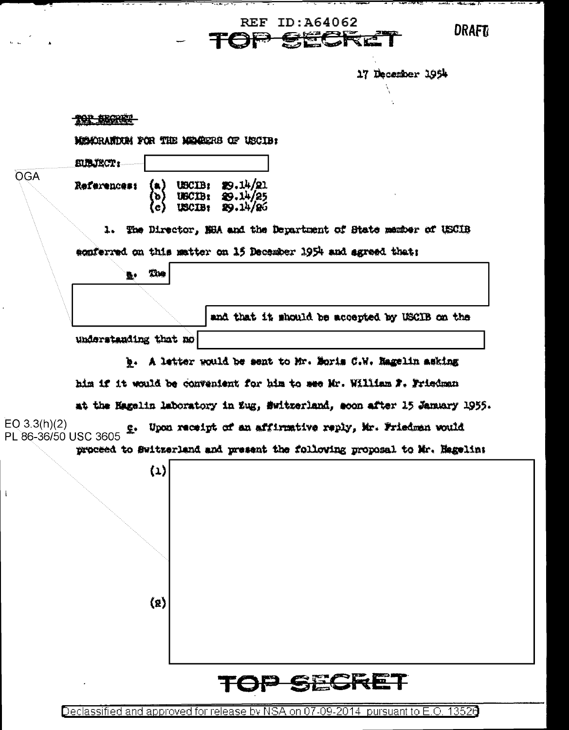17 December 1954 <del>101 120002</del> MEMORANTIAN FOR THE MEMBERS OF USCIB: **EUBJECT: OGA** USCIB: 29.14/21<br>USCIB: 29.14/25<br>USCIB: 29.14/26 References:  $\{a\}$ ъ (e) 1. The Director, NBA and the Department of State manber of USCIB sonferred on this matter on 15 December 1954 and agreed that: The L. and that it should be accepted by USCIB on the understanding that no b. A letter would be sent to Mr. Boris C.W. Hagelin asking him if it would be convenient for him to see Mr. William F. Friedman at the Hagelin laboratory in Eug, Switzerland, soon after 15 January 1955. EO  $3.3(h)(2)$ Upon receipt of an affirmative reply, Mr. Friedman would Σ. PL 86-36/50 USC 3605 proceed to Switzerland and present the following proposal to Mr. Hagelin:  $\{1\}$  $\langle 2 \rangle$ <u>SECI</u>

**REF ID: A64062** 

r<del>ki (\* 1</del>

**DRAFT** 

Declassified and approved for release by NSA on 07-09-2014 pursuant to E.O. 13526